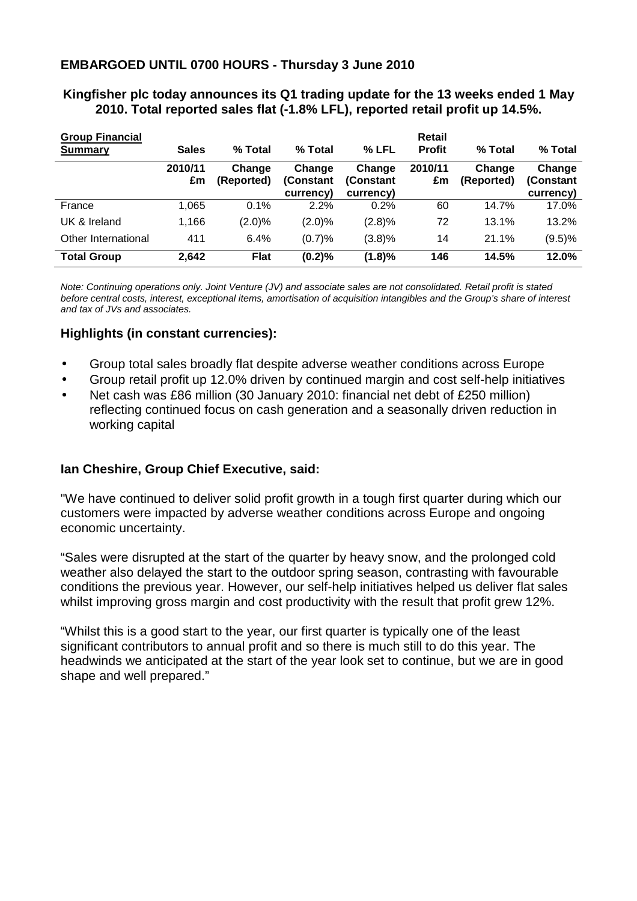### **EMBARGOED UNTIL 0700 HOURS - Thursday 3 June 2010**

# **Kingfisher plc today announces its Q1 trading update for the 13 weeks ended 1 May 2010. Total reported sales flat (-1.8% LFL), reported retail profit up 14.5%. Group Financial Retail**

| 91 July 1 111 111 112 12<br><b>Summary</b> | <b>Sales</b>  | % Total              | % Total                           | % LFL                             | .<br><b>Profit</b> | % Total              | % Total                          |
|--------------------------------------------|---------------|----------------------|-----------------------------------|-----------------------------------|--------------------|----------------------|----------------------------------|
|                                            | 2010/11<br>£m | Change<br>(Reported) | Change<br>(Constant)<br>currency) | Change<br>(Constant)<br>currency) | 2010/11<br>£m      | Change<br>(Reported) | Change<br>(Constant<br>currency) |
| France                                     | 1,065         | $0.1\%$              | 2.2%                              | 0.2%                              | 60                 | 14.7%                | 17.0%                            |
| UK & Ireland                               | 1,166         | (2.0)%               | (2.0)%                            | (2.8)%                            | 72                 | 13.1%                | 13.2%                            |
| Other International                        | 411           | 6.4%                 | (0.7)%                            | (3.8)%                            | 14                 | 21.1%                | (9.5)%                           |
| <b>Total Group</b>                         | 2,642         | <b>Flat</b>          | (0.2)%                            | (1.8)%                            | 146                | 14.5%                | 12.0%                            |

Note: Continuing operations only. Joint Venture (JV) and associate sales are not consolidated. Retail profit is stated before central costs, interest, exceptional items, amortisation of acquisition intangibles and the Group's share of interest and tax of JVs and associates.

#### **Highlights (in constant currencies):**

- Group total sales broadly flat despite adverse weather conditions across Europe
- Group retail profit up 12.0% driven by continued margin and cost self-help initiatives
- Net cash was £86 million (30 January 2010: financial net debt of £250 million) reflecting continued focus on cash generation and a seasonally driven reduction in working capital

#### **Ian Cheshire, Group Chief Executive, said:**

"We have continued to deliver solid profit growth in a tough first quarter during which our customers were impacted by adverse weather conditions across Europe and ongoing economic uncertainty.

"Sales were disrupted at the start of the quarter by heavy snow, and the prolonged cold weather also delayed the start to the outdoor spring season, contrasting with favourable conditions the previous year. However, our self-help initiatives helped us deliver flat sales whilst improving gross margin and cost productivity with the result that profit grew 12%.

"Whilst this is a good start to the year, our first quarter is typically one of the least significant contributors to annual profit and so there is much still to do this year. The headwinds we anticipated at the start of the year look set to continue, but we are in good shape and well prepared."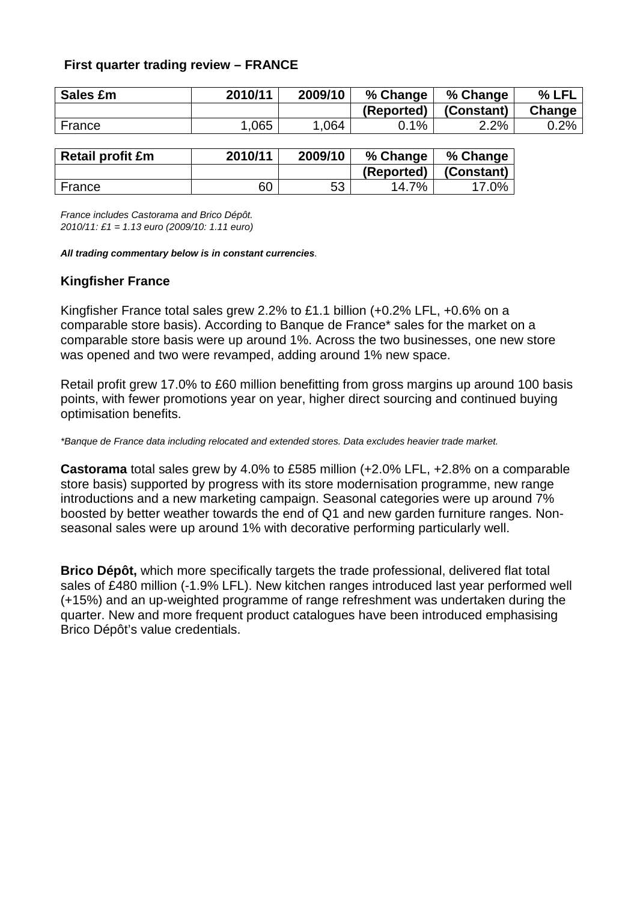## **First quarter trading review – FRANCE**

| Sales £m | 2010/11 | 2009/10 | % Change   | % Change   | % LFL   |
|----------|---------|---------|------------|------------|---------|
|          |         |         | (Reported) | (Constant) | Change  |
| France   | .065    | ,064    | 0.1%       | 2.2%       | $0.2\%$ |

| <b>Retail profit £m</b> | 2010/11 | 2009/10 | % Change   | % Change   |
|-------------------------|---------|---------|------------|------------|
|                         |         |         | (Reported) | (Constant) |
| France                  | 60      | 53      | 14.7%      | 17.0%      |

France includes Castorama and Brico Dépôt. 2010/11: £1 = 1.13 euro (2009/10: 1.11 euro)

#### **All trading commentary below is in constant currencies**.

#### **Kingfisher France**

Kingfisher France total sales grew 2.2% to £1.1 billion (+0.2% LFL, +0.6% on a comparable store basis). According to Banque de France\* sales for the market on a comparable store basis were up around 1%. Across the two businesses, one new store was opened and two were revamped, adding around 1% new space.

Retail profit grew 17.0% to £60 million benefitting from gross margins up around 100 basis points, with fewer promotions year on year, higher direct sourcing and continued buying optimisation benefits.

#### \*Banque de France data including relocated and extended stores. Data excludes heavier trade market.

**Castorama** total sales grew by 4.0% to £585 million (+2.0% LFL, +2.8% on a comparable store basis) supported by progress with its store modernisation programme, new range introductions and a new marketing campaign. Seasonal categories were up around 7% boosted by better weather towards the end of Q1 and new garden furniture ranges. Nonseasonal sales were up around 1% with decorative performing particularly well.

**Brico Dépôt,** which more specifically targets the trade professional, delivered flat total sales of £480 million (-1.9% LFL). New kitchen ranges introduced last year performed well (+15%) and an up-weighted programme of range refreshment was undertaken during the quarter. New and more frequent product catalogues have been introduced emphasising Brico Dépôt's value credentials.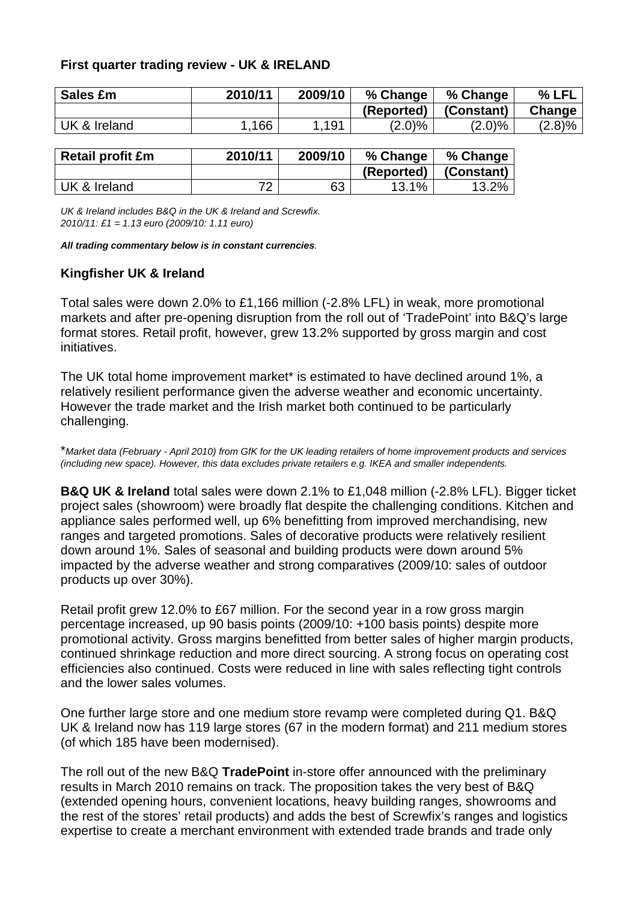## **First quarter trading review - UK & IRELAND**

| Sales £m     | 2010/11 | 2009/10 | % Change   | % Change   | % LFL  |
|--------------|---------|---------|------------|------------|--------|
|              |         |         | (Reported) | (Constant) | Change |
| UK & Ireland | 166     | 1.191   | $(2.0)\%$  | $(2.0)\%$  | (2.8)% |

| <b>Retail profit £m</b> | 2010/11 | 2009/10 | % Change   | % Change   |
|-------------------------|---------|---------|------------|------------|
|                         |         |         | (Reported) | (Constant) |
| UK & Ireland            | 70      | 63      | 13.1%      | 13.2%      |

UK & Ireland includes B&Q in the UK & Ireland and Screwfix. 2010/11: £1 = 1.13 euro (2009/10: 1.11 euro)

#### **All trading commentary below is in constant currencies**.

#### **Kingfisher UK & Ireland**

Total sales were down 2.0% to £1,166 million (-2.8% LFL) in weak, more promotional markets and after pre-opening disruption from the roll out of 'TradePoint' into B&Q's large format stores. Retail profit, however, grew 13.2% supported by gross margin and cost initiatives.

The UK total home improvement market\* is estimated to have declined around 1%, a relatively resilient performance given the adverse weather and economic uncertainty. However the trade market and the Irish market both continued to be particularly challenging.

\*Market data (February - April 2010) from GfK for the UK leading retailers of home improvement products and services (including new space). However, this data excludes private retailers e.g. IKEA and smaller independents.

**B&Q UK & Ireland** total sales were down 2.1% to £1,048 million (-2.8% LFL). Bigger ticket project sales (showroom) were broadly flat despite the challenging conditions. Kitchen and appliance sales performed well, up 6% benefitting from improved merchandising, new ranges and targeted promotions. Sales of decorative products were relatively resilient down around 1%. Sales of seasonal and building products were down around 5% impacted by the adverse weather and strong comparatives (2009/10: sales of outdoor products up over 30%).

Retail profit grew 12.0% to £67 million. For the second year in a row gross margin percentage increased, up 90 basis points (2009/10: +100 basis points) despite more promotional activity. Gross margins benefitted from better sales of higher margin products, continued shrinkage reduction and more direct sourcing. A strong focus on operating cost efficiencies also continued. Costs were reduced in line with sales reflecting tight controls and the lower sales volumes.

One further large store and one medium store revamp were completed during Q1. B&Q UK & Ireland now has 119 large stores (67 in the modern format) and 211 medium stores (of which 185 have been modernised).

The roll out of the new B&Q **TradePoint** in-store offer announced with the preliminary results in March 2010 remains on track. The proposition takes the very best of B&Q (extended opening hours, convenient locations, heavy building ranges, showrooms and the rest of the stores' retail products) and adds the best of Screwfix's ranges and logistics expertise to create a merchant environment with extended trade brands and trade only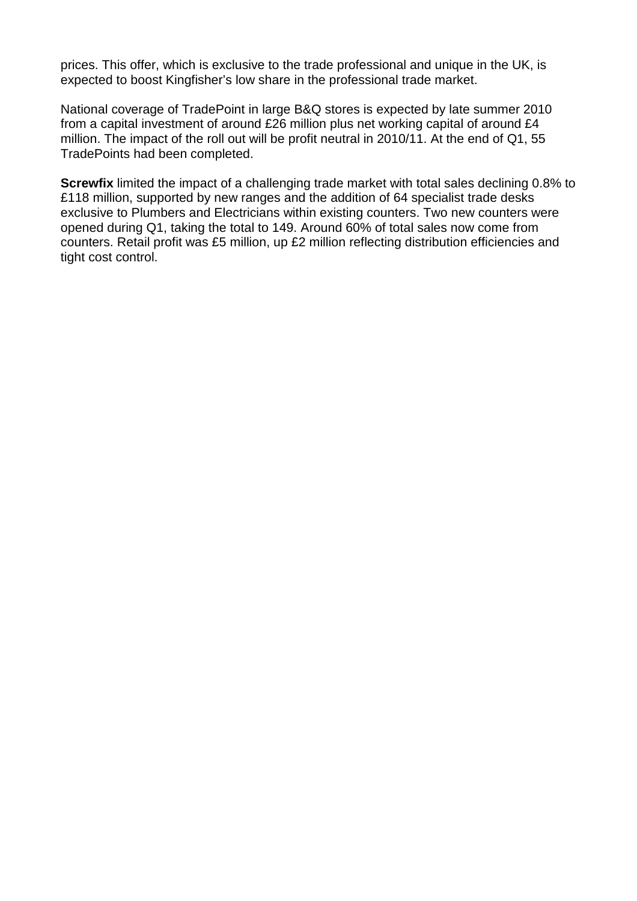prices. This offer, which is exclusive to the trade professional and unique in the UK, is expected to boost Kingfisher's low share in the professional trade market.

National coverage of TradePoint in large B&Q stores is expected by late summer 2010 from a capital investment of around £26 million plus net working capital of around £4 million. The impact of the roll out will be profit neutral in 2010/11. At the end of Q1, 55 TradePoints had been completed.

**Screwfix** limited the impact of a challenging trade market with total sales declining 0.8% to £118 million, supported by new ranges and the addition of 64 specialist trade desks exclusive to Plumbers and Electricians within existing counters. Two new counters were opened during Q1, taking the total to 149. Around 60% of total sales now come from counters. Retail profit was £5 million, up £2 million reflecting distribution efficiencies and tight cost control.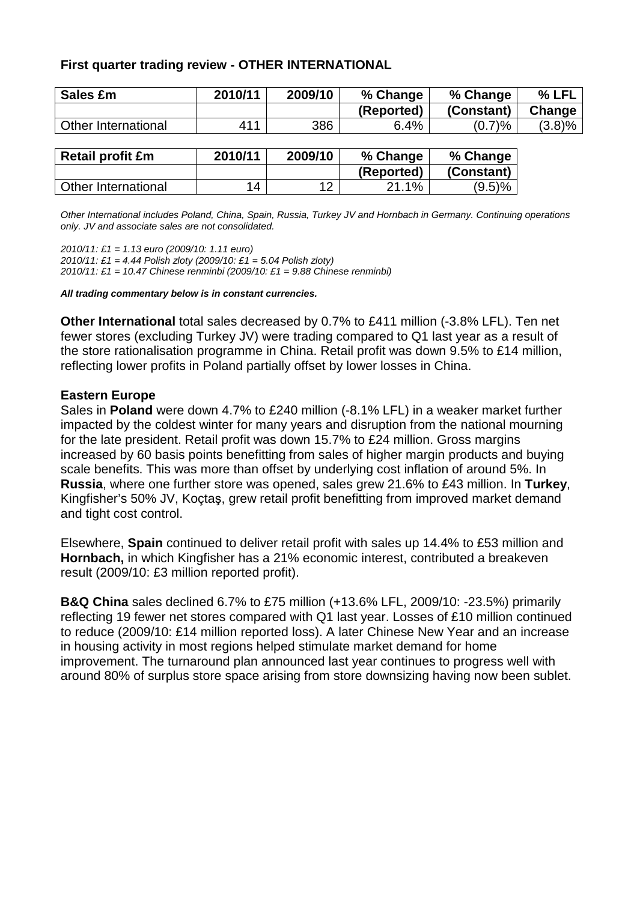## **First quarter trading review - OTHER INTERNATIONAL**

| Sales £m            | 2010/11 | 2009/10 | % Change   | % Change   | % LFL  |
|---------------------|---------|---------|------------|------------|--------|
|                     |         |         | (Reported) | (Constant) | Change |
| Other International | 411     | 386     | 6.4%       | (0.7)%     | (3.8)% |
|                     |         |         |            |            |        |

| <b>Retail profit £m</b> | 2010/11 | 2009/10 | % Change   | % Change   |
|-------------------------|---------|---------|------------|------------|
|                         |         |         | (Reported) | (Constant) |
| Other International     | 14      | ィつ      | 21.1%      | (9.5)%     |

Other International includes Poland, China, Spain, Russia, Turkey JV and Hornbach in Germany. Continuing operations only. JV and associate sales are not consolidated.

2010/11: £1 = 1.13 euro (2009/10: 1.11 euro)

2010/11: £1 = 4.44 Polish zloty (2009/10: £1 = 5.04 Polish zloty)

2010/11: £1 = 10.47 Chinese renminbi (2009/10: £1 = 9.88 Chinese renminbi)

**All trading commentary below is in constant currencies.** 

**Other International** total sales decreased by 0.7% to £411 million (-3.8% LFL). Ten net fewer stores (excluding Turkey JV) were trading compared to Q1 last year as a result of the store rationalisation programme in China. Retail profit was down 9.5% to £14 million, reflecting lower profits in Poland partially offset by lower losses in China.

#### **Eastern Europe**

Sales in **Poland** were down 4.7% to £240 million (-8.1% LFL) in a weaker market further impacted by the coldest winter for many years and disruption from the national mourning for the late president. Retail profit was down 15.7% to £24 million. Gross margins increased by 60 basis points benefitting from sales of higher margin products and buying scale benefits. This was more than offset by underlying cost inflation of around 5%. In **Russia**, where one further store was opened, sales grew 21.6% to £43 million. In **Turkey**, Kingfisher's 50% JV, Koçtaş, grew retail profit benefitting from improved market demand and tight cost control.

Elsewhere, **Spain** continued to deliver retail profit with sales up 14.4% to £53 million and **Hornbach,** in which Kingfisher has a 21% economic interest, contributed a breakeven result (2009/10: £3 million reported profit).

**B&Q China** sales declined 6.7% to £75 million (+13.6% LFL, 2009/10: -23.5%) primarily reflecting 19 fewer net stores compared with Q1 last year. Losses of £10 million continued to reduce (2009/10: £14 million reported loss). A later Chinese New Year and an increase in housing activity in most regions helped stimulate market demand for home improvement. The turnaround plan announced last year continues to progress well with around 80% of surplus store space arising from store downsizing having now been sublet.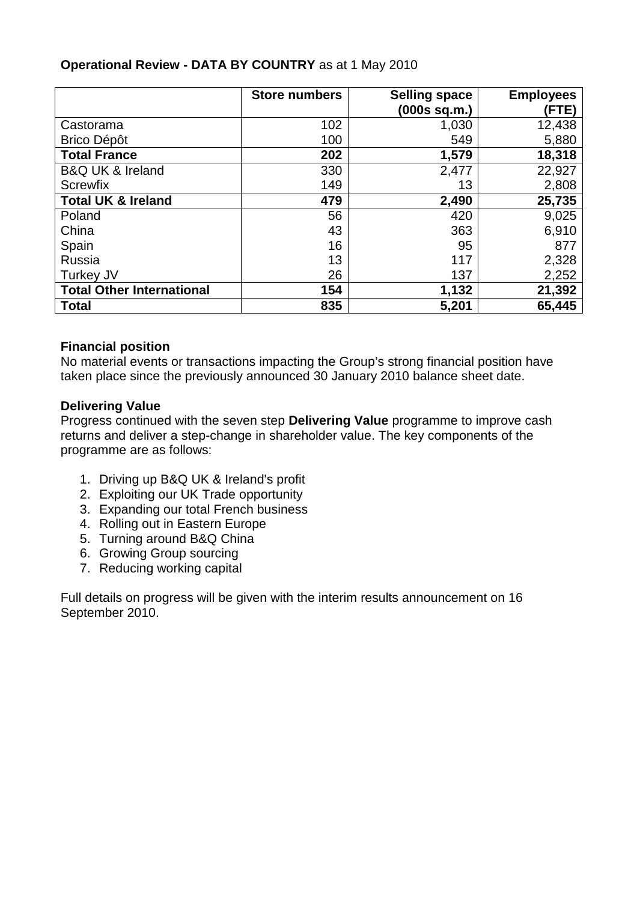|                                  | <b>Store numbers</b> | <b>Selling space</b><br>(000s sq.m.) | <b>Employees</b><br>(FTE) |
|----------------------------------|----------------------|--------------------------------------|---------------------------|
| Castorama                        | 102                  | 1,030                                | 12,438                    |
| <b>Brico Dépôt</b>               | 100                  | 549                                  | 5,880                     |
| <b>Total France</b>              | 202                  | 1,579                                | 18,318                    |
| <b>B&amp;Q UK &amp; Ireland</b>  | 330                  | 2,477                                | 22,927                    |
| <b>Screwfix</b>                  | 149                  | 13                                   | 2,808                     |
| <b>Total UK &amp; Ireland</b>    | 479                  | 2,490                                | 25,735                    |
| Poland                           | 56                   | 420                                  | 9,025                     |
| China                            | 43                   | 363                                  | 6,910                     |
| Spain                            | 16                   | 95                                   | 877                       |
| Russia                           | 13                   | 117                                  | 2,328                     |
| Turkey JV                        | 26                   | 137                                  | 2,252                     |
| <b>Total Other International</b> | 154                  | 1,132                                | 21,392                    |
| <b>Total</b>                     | 835                  | 5,201                                | 65,445                    |

# **Operational Review - DATA BY COUNTRY** as at 1 May 2010

## **Financial position**

No material events or transactions impacting the Group's strong financial position have taken place since the previously announced 30 January 2010 balance sheet date.

## **Delivering Value**

Progress continued with the seven step **Delivering Value** programme to improve cash returns and deliver a step-change in shareholder value. The key components of the programme are as follows:

- 1. Driving up B&Q UK & Ireland's profit
- 2. Exploiting our UK Trade opportunity
- 3. Expanding our total French business
- 4. Rolling out in Eastern Europe
- 5. Turning around B&Q China
- 6. Growing Group sourcing
- 7. Reducing working capital

Full details on progress will be given with the interim results announcement on 16 September 2010.